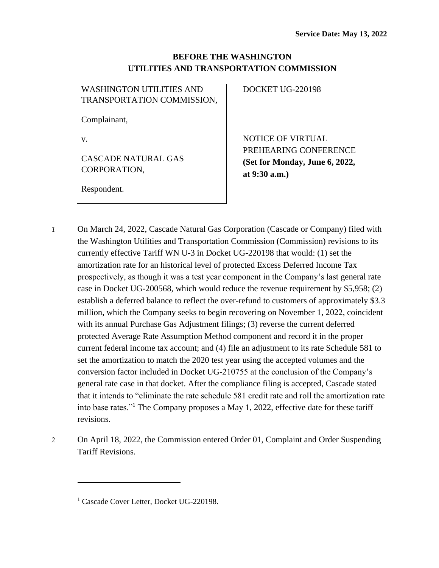## **BEFORE THE WASHINGTON UTILITIES AND TRANSPORTATION COMMISSION**

| <b>WASHINGTON UTILITIES AND</b>            | DOCKET UG-220198               |
|--------------------------------------------|--------------------------------|
| TRANSPORTATION COMMISSION,                 |                                |
| Complainant,                               |                                |
| V.                                         | <b>NOTICE OF VIRTUAL</b>       |
|                                            | PREHEARING CONFERENCE          |
| <b>CASCADE NATURAL GAS</b><br>CORPORATION, | (Set for Monday, June 6, 2022, |
|                                            | at $9:30$ a.m.)                |
| Respondent.                                |                                |

*1* On March 24, 2022, Cascade Natural Gas Corporation (Cascade or Company) filed with the Washington Utilities and Transportation Commission (Commission) revisions to its currently effective Tariff WN U-3 in Docket UG-220198 that would: (1) set the amortization rate for an historical level of protected Excess Deferred Income Tax prospectively, as though it was a test year component in the Company's last general rate case in Docket UG-200568, which would reduce the revenue requirement by \$5,958; (2) establish a deferred balance to reflect the over-refund to customers of approximately \$3.3 million, which the Company seeks to begin recovering on November 1, 2022, coincident with its annual Purchase Gas Adjustment filings; (3) reverse the current deferred protected Average Rate Assumption Method component and record it in the proper current federal income tax account; and (4) file an adjustment to its rate Schedule 581 to set the amortization to match the 2020 test year using the accepted volumes and the conversion factor included in Docket UG-210755 at the conclusion of the Company's general rate case in that docket. After the compliance filing is accepted, Cascade stated that it intends to "eliminate the rate schedule 581 credit rate and roll the amortization rate into base rates."<sup>1</sup> The Company proposes a May 1, 2022, effective date for these tariff revisions.

*2* On April 18, 2022, the Commission entered Order 01, Complaint and Order Suspending Tariff Revisions.

<sup>&</sup>lt;sup>1</sup> Cascade Cover Letter, Docket UG-220198.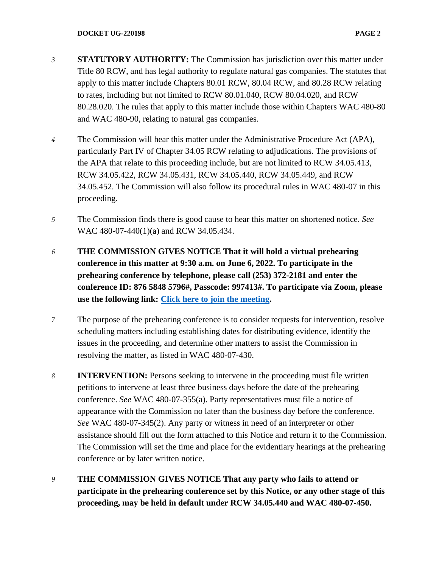- *3* **STATUTORY AUTHORITY:** The Commission has jurisdiction over this matter under Title 80 RCW, and has legal authority to regulate natural gas companies. The statutes that apply to this matter include Chapters 80.01 RCW, 80.04 RCW, and 80.28 RCW relating to rates, including but not limited to RCW 80.01.040, RCW 80.04.020, and RCW 80.28.020. The rules that apply to this matter include those within Chapters WAC 480-80 and WAC 480-90, relating to natural gas companies.
- *4* The Commission will hear this matter under the Administrative Procedure Act (APA), particularly Part IV of Chapter 34.05 RCW relating to adjudications. The provisions of the APA that relate to this proceeding include, but are not limited to RCW 34.05.413, RCW 34.05.422, RCW 34.05.431, RCW 34.05.440, RCW 34.05.449, and RCW 34.05.452. The Commission will also follow its procedural rules in WAC 480-07 in this proceeding.
- *5* The Commission finds there is good cause to hear this matter on shortened notice. *See*  WAC 480-07-440(1)(a) and RCW 34.05.434.
- *6* **THE COMMISSION GIVES NOTICE That it will hold a virtual prehearing conference in this matter at 9:30 a.m. on June 6, 2022. To participate in the prehearing conference by telephone, please call (253) 372-2181 and enter the conference ID: 876 5848 5796#, Passcode: 997413#. To participate via Zoom, please use the following link: [Click here to join the meeting.](https://utc-wa-gov.zoom.us/j/87658485796?pwd=K3l4U2ducTcwZENoZDJSQlppQ256UT09)**
- *7* The purpose of the prehearing conference is to consider requests for intervention, resolve scheduling matters including establishing dates for distributing evidence, identify the issues in the proceeding, and determine other matters to assist the Commission in resolving the matter, as listed in WAC 480-07-430.
- *8* **INTERVENTION:** Persons seeking to intervene in the proceeding must file written petitions to intervene at least three business days before the date of the prehearing conference. *See* WAC 480-07-355(a). Party representatives must file a notice of appearance with the Commission no later than the business day before the conference. *See* WAC 480-07-345(2). Any party or witness in need of an interpreter or other assistance should fill out the form attached to this Notice and return it to the Commission. The Commission will set the time and place for the evidentiary hearings at the prehearing conference or by later written notice.
- *9* **THE COMMISSION GIVES NOTICE That any party who fails to attend or participate in the prehearing conference set by this Notice, or any other stage of this proceeding, may be held in default under RCW 34.05.440 and WAC 480-07-450.**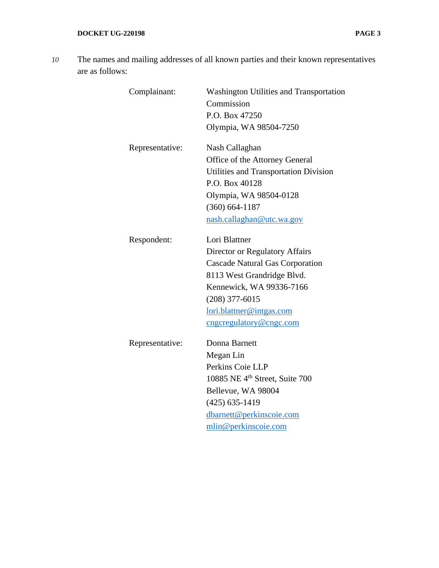*10* The names and mailing addresses of all known parties and their known representatives are as follows:

| Complainant:    | <b>Washington Utilities and Transportation</b><br>Commission<br>P.O. Box 47250<br>Olympia, WA 98504-7250                                                                                                                       |
|-----------------|--------------------------------------------------------------------------------------------------------------------------------------------------------------------------------------------------------------------------------|
| Representative: | Nash Callaghan<br>Office of the Attorney General<br>Utilities and Transportation Division<br>P.O. Box 40128<br>Olympia, WA 98504-0128<br>$(360) 664 - 1187$<br>nash.callaghan@utc.wa.gov                                       |
| Respondent:     | Lori Blattner<br>Director or Regulatory Affairs<br><b>Cascade Natural Gas Corporation</b><br>8113 West Grandridge Blvd.<br>Kennewick, WA 99336-7166<br>$(208)$ 377-6015<br>lori.blattner@intgas.com<br>cngcregulatory@cngc.com |
| Representative: | Donna Barnett<br>Megan Lin<br>Perkins Coie LLP<br>10885 NE 4 <sup>th</sup> Street, Suite 700<br>Bellevue, WA 98004<br>$(425)$ 635-1419<br>dbarnett@perkinscoie.com<br>mlin@perkinscoie.com                                     |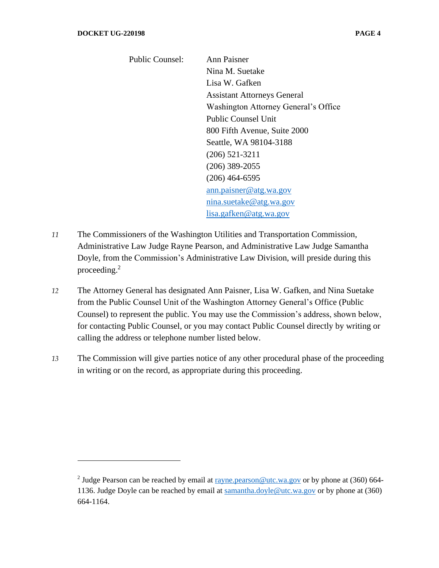| <b>Public Counsel:</b> | Ann Paisner                          |
|------------------------|--------------------------------------|
|                        | Nina M. Suetake                      |
|                        | Lisa W. Gafken                       |
|                        | <b>Assistant Attorneys General</b>   |
|                        | Washington Attorney General's Office |
|                        | <b>Public Counsel Unit</b>           |
|                        | 800 Fifth Avenue, Suite 2000         |
|                        | Seattle, WA 98104-3188               |
|                        | $(206)$ 521-3211                     |
|                        | $(206)$ 389-2055                     |
|                        | $(206)$ 464-6595                     |
|                        | ann.paisner@atg.wa.gov               |
|                        | nina.suetake@atg.wa.gov              |
|                        | lisa.gafken@atg.wa.gov               |
|                        |                                      |

- *11* The Commissioners of the Washington Utilities and Transportation Commission, Administrative Law Judge Rayne Pearson, and Administrative Law Judge Samantha Doyle, from the Commission's Administrative Law Division, will preside during this proceeding.<sup>2</sup>
- *12* The Attorney General has designated Ann Paisner, Lisa W. Gafken, and Nina Suetake from the Public Counsel Unit of the Washington Attorney General's Office (Public Counsel) to represent the public. You may use the Commission's address, shown below, for contacting Public Counsel, or you may contact Public Counsel directly by writing or calling the address or telephone number listed below.
- *13* The Commission will give parties notice of any other procedural phase of the proceeding in writing or on the record, as appropriate during this proceeding.

<sup>&</sup>lt;sup>2</sup> Judge Pearson can be reached by email at  $\frac{rayne.pearson@utc.wa.gov}$  $\frac{rayne.pearson@utc.wa.gov}$  $\frac{rayne.pearson@utc.wa.gov}$  or by phone at (360) 664-1136. Judge Doyle can be reached by email at [samantha.doyle@utc.wa.gov](mailto:samantha.doyle@utc.wa.gov) or by phone at (360) 664-1164.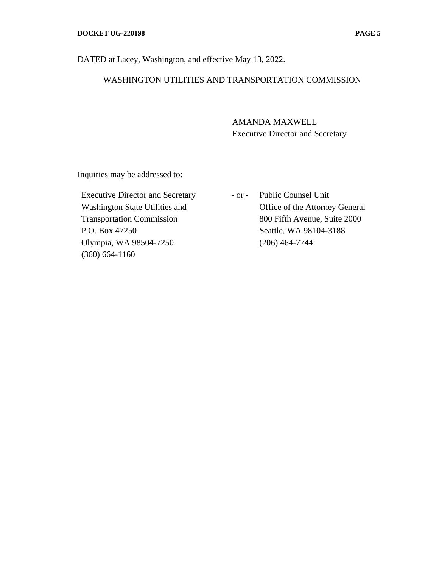## WASHINGTON UTILITIES AND TRANSPORTATION COMMISSION

AMANDA MAXWELL Executive Director and Secretary

Inquiries may be addressed to:

Executive Director and Secretary Washington State Utilities and Transportation Commission P.O. Box 47250 Olympia, WA 98504-7250 (360) 664-1160

- or - Public Counsel Unit Office of the Attorney General 800 Fifth Avenue, Suite 2000 Seattle, WA 98104-3188 (206) 464-7744